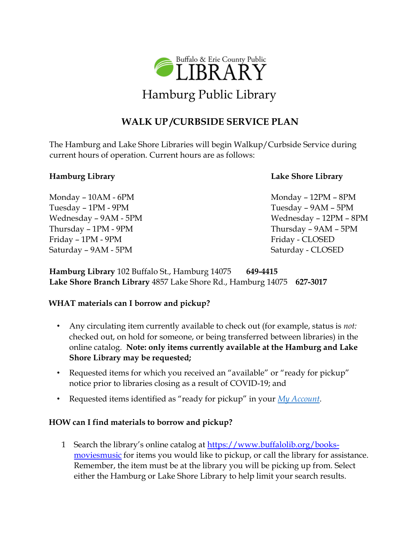

# **WALK UP /CURBSIDE SERVICE PLAN**

The Hamburg and Lake Shore Libraries will begin Walkup/Curbside Service during current hours of operation. Current hours are as follows:

Monday – 10AM - 6PM Monday – 12PM – 8PM Tuesday – 1PM - 9PM Tuesday – 9AM – 5PM Thursday – 1PM - 9PM Thursday – 9AM – 5PM Friday – 1PM - 9PM Friday – CLOSED Saturday – 9AM - 5PM Saturday - CLOSED

### **Hamburg Library Lake Shore Library**

Wednesday – 9AM - 5PM  $\blacksquare$  Wednesday – 12PM – 8PM

**Hamburg Library** 102 Buffalo St., Hamburg 14075 **649-4415 Lake Shore Branch Library** 4857 Lake Shore Rd., Hamburg 14075 **627-3017** 

### **WHAT materials can I borrow and pickup?**

- Any circulating item currently available to check out (for example, status is *not:* checked out, on hold for someone, or being transferred between libraries) in the online catalog. **Note: only items currently available at the Hamburg and Lake Shore Library may be requested;**
- Requested items for which you received an "available" or "ready for pickup" notice prior to libraries closing as a result of COVID-19; and
- Requested items identified as "ready for pickup" in your *[My Account](https://bepl.ent.sirsi.net/client/en_US/default/search/framedpage/$002fcustom$002fweb$002fcontent$002fmyaccount.html/My$0020Account/800px/false)*[.](https://bepl.ent.sirsi.net/client/en_US/default/search/framedpage/$002fcustom$002fweb$002fcontent$002fmyaccount.html/My$0020Account/800px/false)

## **HOW can I find materials to borrow and pickup?**

1 Search the library's online catalog at [https://www.buffalolib.org/books](https://www.buffalolib.org/books-movies-music)movies music [f](https://www.buffalolib.org/books-movies-music)or items you would like to pickup, or call the library for assistance. Remember, the item must be at the library you will be picking up from. Select either the Hamburg or Lake Shore Library to help limit your search results.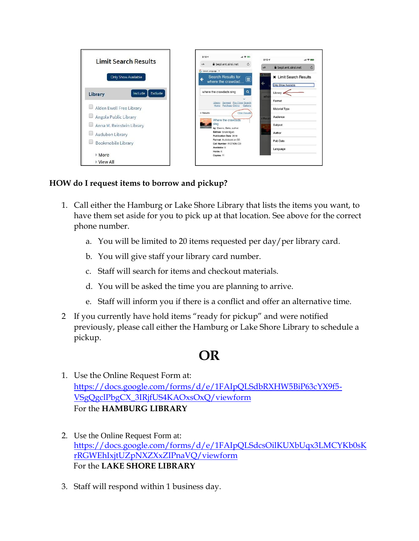

# **HOW do I request items to borrow and pickup?**

- 1. Call either the Hamburg or Lake Shore Library that lists the items you want, to have them set aside for you to pick up at that location. See above for the correct phone number.
	- a. You will be limited to 20 items requested per day/per library card.
	- b. You will give staff your library card number.
	- c. Staff will search for items and checkout materials.
	- d. You will be asked the time you are planning to arrive.
	- e. Staff will inform you if there is a conflict and offer an alternative time.
- 2 If you currently have hold items "ready for pickup" and were notified previously, please call either the Hamburg or Lake Shore Library to schedule a pickup.

# **OR**

- 1. Use the Online Request Form at: [https://docs.google.com/forms/d/e/1FAIpQLSdbRXHW5BiP63cYX9f5-](https://docs.google.com/forms/d/e/1FAIpQLSdbRXHW5BiP63cYX9f5-VSgQgclPbgCX_3IRjfUS4KAOxsOxQ/viewform) [VSgQgclPbgCX\\_3IRjfUS4KAOxsOxQ/viewform](https://docs.google.com/forms/d/e/1FAIpQLSdbRXHW5BiP63cYX9f5-VSgQgclPbgCX_3IRjfUS4KAOxsOxQ/viewform) For the **HAMBURG LIBRARY**
- 2. Use the Online Request Form at: [https://docs.google.com/forms/d/e/1FAIpQLSdcsOilKUXbUqx3LMCYKb0sK](https://docs.google.com/forms/d/e/1FAIpQLSdcsOilKUXbUqx3LMCYKb0sKrRGWEhIxjtUZpNXZXxZIPnaVQ/viewform?usp=sf_link) [rRGWEhIxjtUZpNXZXxZIPnaVQ/viewform](https://docs.google.com/forms/d/e/1FAIpQLSdcsOilKUXbUqx3LMCYKb0sKrRGWEhIxjtUZpNXZXxZIPnaVQ/viewform?usp=sf_link) For the **LAKE SHORE LIBRARY**
- 3. Staff will respond within 1 business day.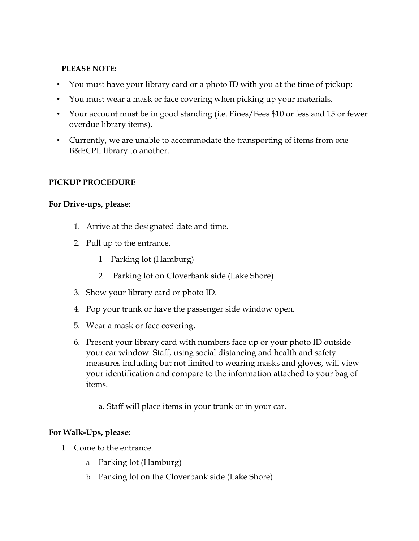### **PLEASE NOTE:**

- You must have your library card or a photo ID with you at the time of pickup;
- You must wear a mask or face covering when picking up your materials.
- Your account must be in good standing (i.e. Fines/Fees \$10 or less and 15 or fewer overdue library items).
- Currently, we are unable to accommodate the transporting of items from one B&ECPL library to another.

### **PICKUP PROCEDURE**

### **For Drive-ups, please:**

- 1. Arrive at the designated date and time.
- 2. Pull up to the entrance.
	- 1 Parking lot (Hamburg)
	- 2 Parking lot on Cloverbank side (Lake Shore)
- 3. Show your library card or photo ID.
- 4. Pop your trunk or have the passenger side window open.
- 5. Wear a mask or face covering.
- 6. Present your library card with numbers face up or your photo ID outside your car window. Staff, using social distancing and health and safety measures including but not limited to wearing masks and gloves, will view your identification and compare to the information attached to your bag of items.
	- a. Staff will place items in your trunk or in your car.

### **For Walk-Ups, please:**

- 1. Come to the entrance.
	- a Parking lot (Hamburg)
	- b Parking lot on the Cloverbank side (Lake Shore)